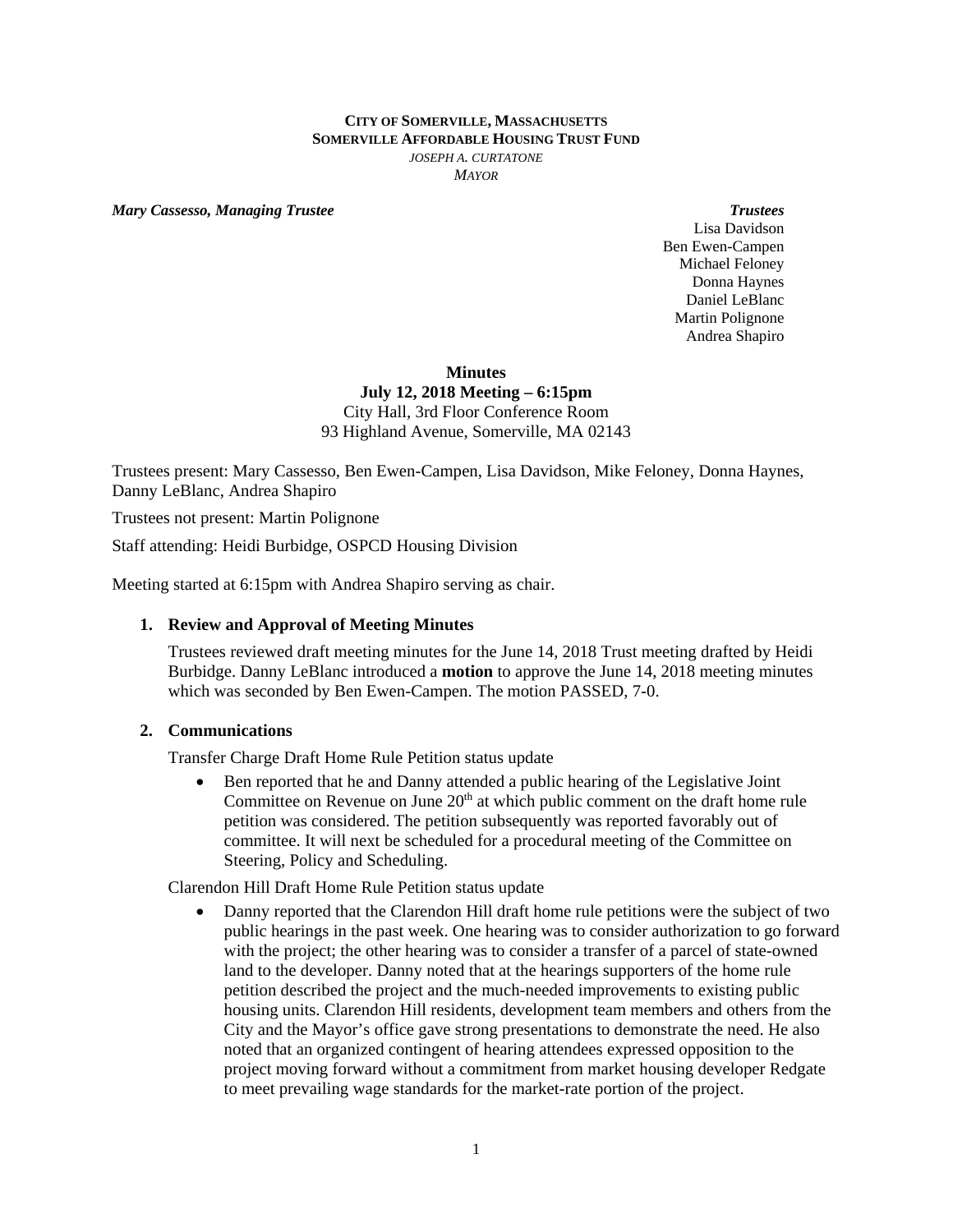## **CITY OF SOMERVILLE, MASSACHUSETTS SOMERVILLE AFFORDABLE HOUSING TRUST FUND** *JOSEPH A. CURTATONE MAYOR*

*Mary Cassesso, Managing Trustee* **Trustees Trustees Trustees Trustees** 

Lisa Davidson Ben Ewen-Campen Michael Feloney Donna Haynes Daniel LeBlanc Martin Polignone Andrea Shapiro

#### **Minutes**

**July 12, 2018 Meeting – 6:15pm**  City Hall, 3rd Floor Conference Room 93 Highland Avenue, Somerville, MA 02143

Trustees present: Mary Cassesso, Ben Ewen-Campen, Lisa Davidson, Mike Feloney, Donna Haynes, Danny LeBlanc, Andrea Shapiro

Trustees not present: Martin Polignone

Staff attending: Heidi Burbidge, OSPCD Housing Division

Meeting started at 6:15pm with Andrea Shapiro serving as chair.

# **1. Review and Approval of Meeting Minutes**

Trustees reviewed draft meeting minutes for the June 14, 2018 Trust meeting drafted by Heidi Burbidge. Danny LeBlanc introduced a **motion** to approve the June 14, 2018 meeting minutes which was seconded by Ben Ewen-Campen. The motion PASSED, 7-0.

## **2. Communications**

Transfer Charge Draft Home Rule Petition status update

 Ben reported that he and Danny attended a public hearing of the Legislative Joint Committee on Revenue on June  $20<sup>th</sup>$  at which public comment on the draft home rule petition was considered. The petition subsequently was reported favorably out of committee. It will next be scheduled for a procedural meeting of the Committee on Steering, Policy and Scheduling.

Clarendon Hill Draft Home Rule Petition status update

 Danny reported that the Clarendon Hill draft home rule petitions were the subject of two public hearings in the past week. One hearing was to consider authorization to go forward with the project; the other hearing was to consider a transfer of a parcel of state-owned land to the developer. Danny noted that at the hearings supporters of the home rule petition described the project and the much-needed improvements to existing public housing units. Clarendon Hill residents, development team members and others from the City and the Mayor's office gave strong presentations to demonstrate the need. He also noted that an organized contingent of hearing attendees expressed opposition to the project moving forward without a commitment from market housing developer Redgate to meet prevailing wage standards for the market-rate portion of the project.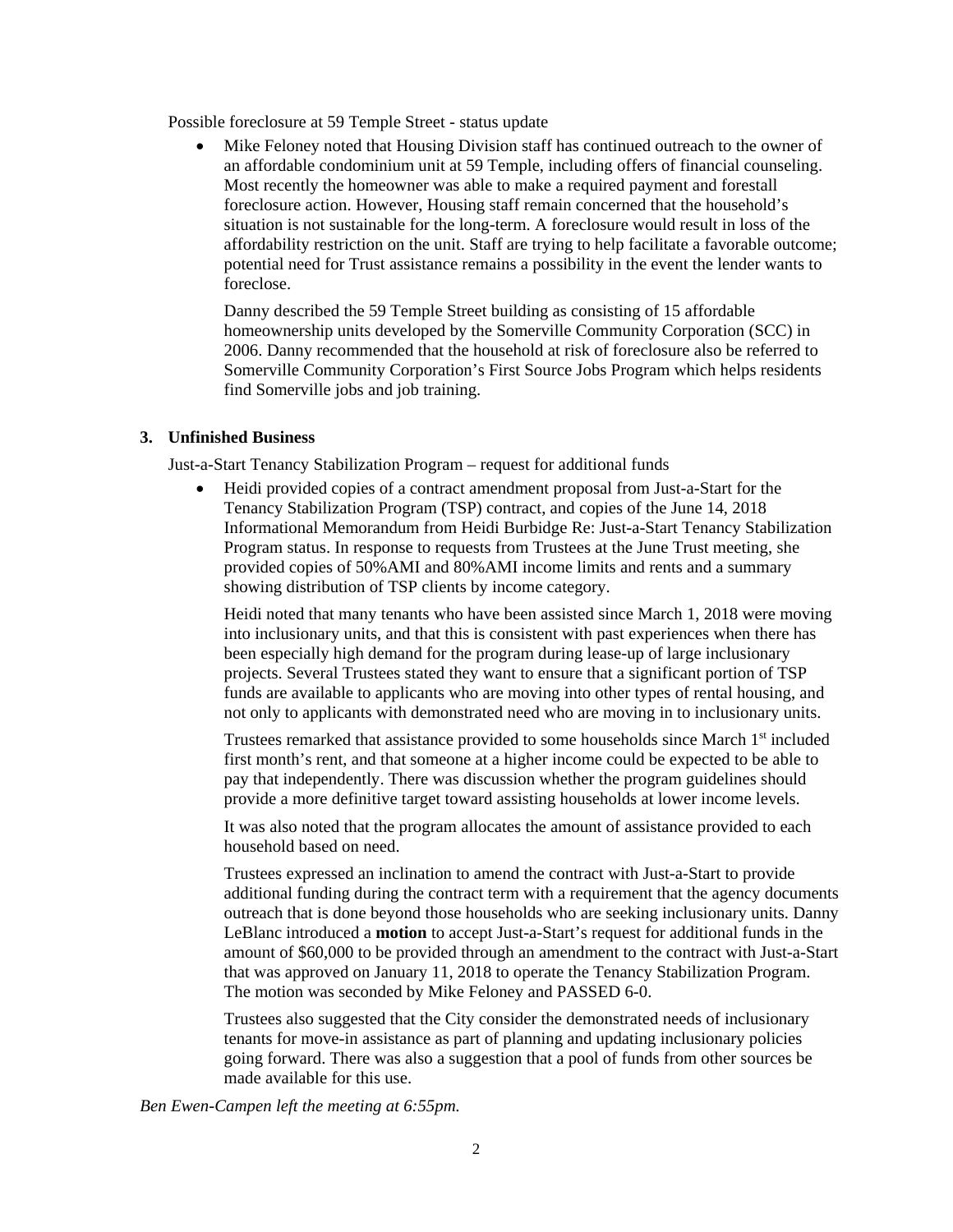Possible foreclosure at 59 Temple Street - status update

 Mike Feloney noted that Housing Division staff has continued outreach to the owner of an affordable condominium unit at 59 Temple, including offers of financial counseling. Most recently the homeowner was able to make a required payment and forestall foreclosure action. However, Housing staff remain concerned that the household's situation is not sustainable for the long-term. A foreclosure would result in loss of the affordability restriction on the unit. Staff are trying to help facilitate a favorable outcome; potential need for Trust assistance remains a possibility in the event the lender wants to foreclose.

Danny described the 59 Temple Street building as consisting of 15 affordable homeownership units developed by the Somerville Community Corporation (SCC) in 2006. Danny recommended that the household at risk of foreclosure also be referred to Somerville Community Corporation's First Source Jobs Program which helps residents find Somerville jobs and job training.

# **3. Unfinished Business**

Just-a-Start Tenancy Stabilization Program – request for additional funds

 Heidi provided copies of a contract amendment proposal from Just-a-Start for the Tenancy Stabilization Program (TSP) contract, and copies of the June 14, 2018 Informational Memorandum from Heidi Burbidge Re: Just-a-Start Tenancy Stabilization Program status. In response to requests from Trustees at the June Trust meeting, she provided copies of 50%AMI and 80%AMI income limits and rents and a summary showing distribution of TSP clients by income category.

Heidi noted that many tenants who have been assisted since March 1, 2018 were moving into inclusionary units, and that this is consistent with past experiences when there has been especially high demand for the program during lease-up of large inclusionary projects. Several Trustees stated they want to ensure that a significant portion of TSP funds are available to applicants who are moving into other types of rental housing, and not only to applicants with demonstrated need who are moving in to inclusionary units.

Trustees remarked that assistance provided to some households since March 1<sup>st</sup> included first month's rent, and that someone at a higher income could be expected to be able to pay that independently. There was discussion whether the program guidelines should provide a more definitive target toward assisting households at lower income levels.

It was also noted that the program allocates the amount of assistance provided to each household based on need.

Trustees expressed an inclination to amend the contract with Just-a-Start to provide additional funding during the contract term with a requirement that the agency documents outreach that is done beyond those households who are seeking inclusionary units. Danny LeBlanc introduced a **motion** to accept Just-a-Start's request for additional funds in the amount of \$60,000 to be provided through an amendment to the contract with Just-a-Start that was approved on January 11, 2018 to operate the Tenancy Stabilization Program. The motion was seconded by Mike Feloney and PASSED 6-0.

Trustees also suggested that the City consider the demonstrated needs of inclusionary tenants for move-in assistance as part of planning and updating inclusionary policies going forward. There was also a suggestion that a pool of funds from other sources be made available for this use.

*Ben Ewen-Campen left the meeting at 6:55pm.*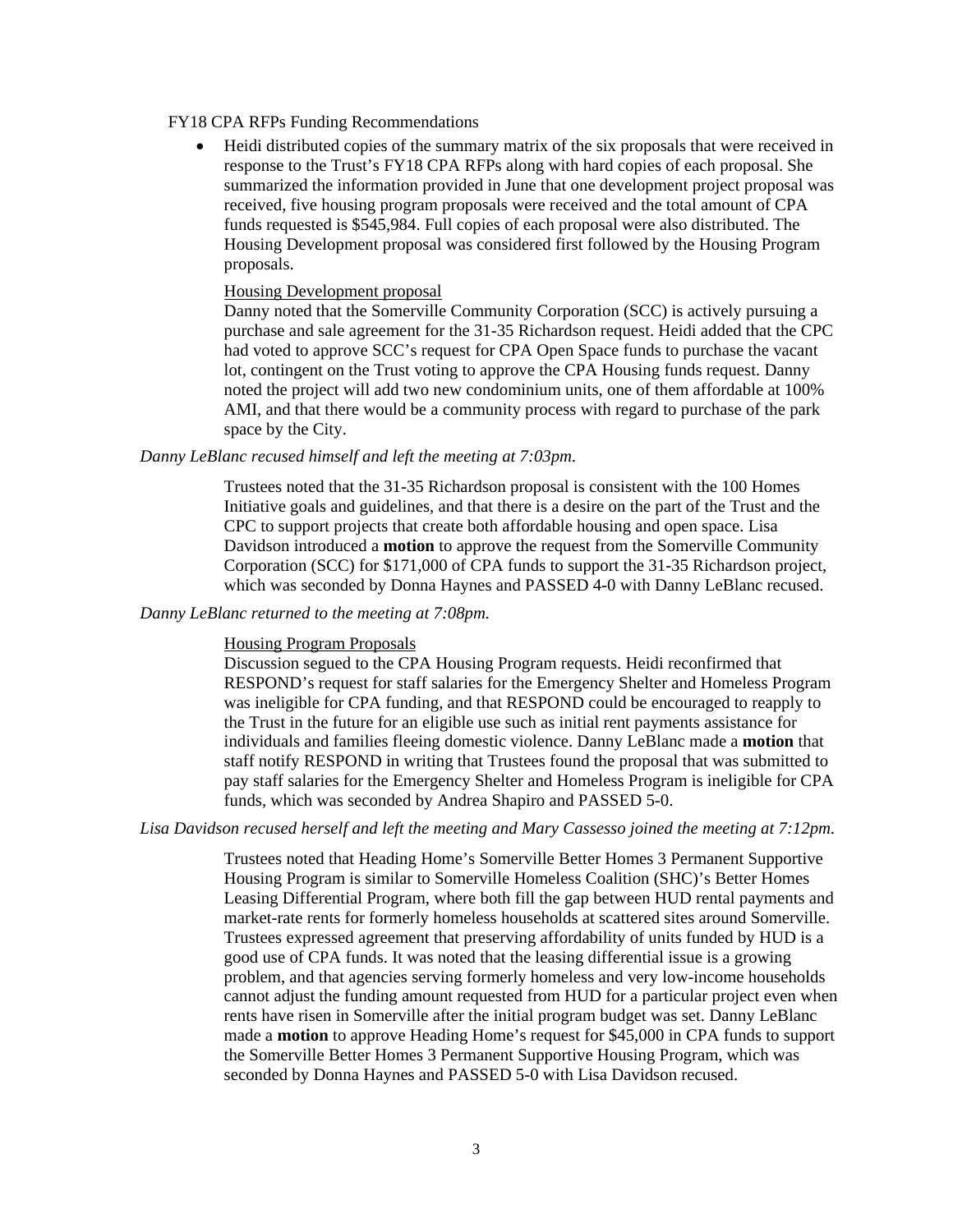#### FY18 CPA RFPs Funding Recommendations

 Heidi distributed copies of the summary matrix of the six proposals that were received in response to the Trust's FY18 CPA RFPs along with hard copies of each proposal. She summarized the information provided in June that one development project proposal was received, five housing program proposals were received and the total amount of CPA funds requested is \$545,984. Full copies of each proposal were also distributed. The Housing Development proposal was considered first followed by the Housing Program proposals.

#### Housing Development proposal

Danny noted that the Somerville Community Corporation (SCC) is actively pursuing a purchase and sale agreement for the 31-35 Richardson request. Heidi added that the CPC had voted to approve SCC's request for CPA Open Space funds to purchase the vacant lot, contingent on the Trust voting to approve the CPA Housing funds request. Danny noted the project will add two new condominium units, one of them affordable at 100% AMI, and that there would be a community process with regard to purchase of the park space by the City.

#### *Danny LeBlanc recused himself and left the meeting at 7:03pm.*

Trustees noted that the 31-35 Richardson proposal is consistent with the 100 Homes Initiative goals and guidelines, and that there is a desire on the part of the Trust and the CPC to support projects that create both affordable housing and open space. Lisa Davidson introduced a **motion** to approve the request from the Somerville Community Corporation (SCC) for \$171,000 of CPA funds to support the 31-35 Richardson project, which was seconded by Donna Haynes and PASSED 4-0 with Danny LeBlanc recused.

#### *Danny LeBlanc returned to the meeting at 7:08pm.*

#### Housing Program Proposals

Discussion segued to the CPA Housing Program requests. Heidi reconfirmed that RESPOND's request for staff salaries for the Emergency Shelter and Homeless Program was ineligible for CPA funding, and that RESPOND could be encouraged to reapply to the Trust in the future for an eligible use such as initial rent payments assistance for individuals and families fleeing domestic violence. Danny LeBlanc made a **motion** that staff notify RESPOND in writing that Trustees found the proposal that was submitted to pay staff salaries for the Emergency Shelter and Homeless Program is ineligible for CPA funds, which was seconded by Andrea Shapiro and PASSED 5-0.

## *Lisa Davidson recused herself and left the meeting and Mary Cassesso joined the meeting at 7:12pm.*

Trustees noted that Heading Home's Somerville Better Homes 3 Permanent Supportive Housing Program is similar to Somerville Homeless Coalition (SHC)'s Better Homes Leasing Differential Program, where both fill the gap between HUD rental payments and market-rate rents for formerly homeless households at scattered sites around Somerville. Trustees expressed agreement that preserving affordability of units funded by HUD is a good use of CPA funds. It was noted that the leasing differential issue is a growing problem, and that agencies serving formerly homeless and very low-income households cannot adjust the funding amount requested from HUD for a particular project even when rents have risen in Somerville after the initial program budget was set. Danny LeBlanc made a **motion** to approve Heading Home's request for \$45,000 in CPA funds to support the Somerville Better Homes 3 Permanent Supportive Housing Program, which was seconded by Donna Haynes and PASSED 5-0 with Lisa Davidson recused.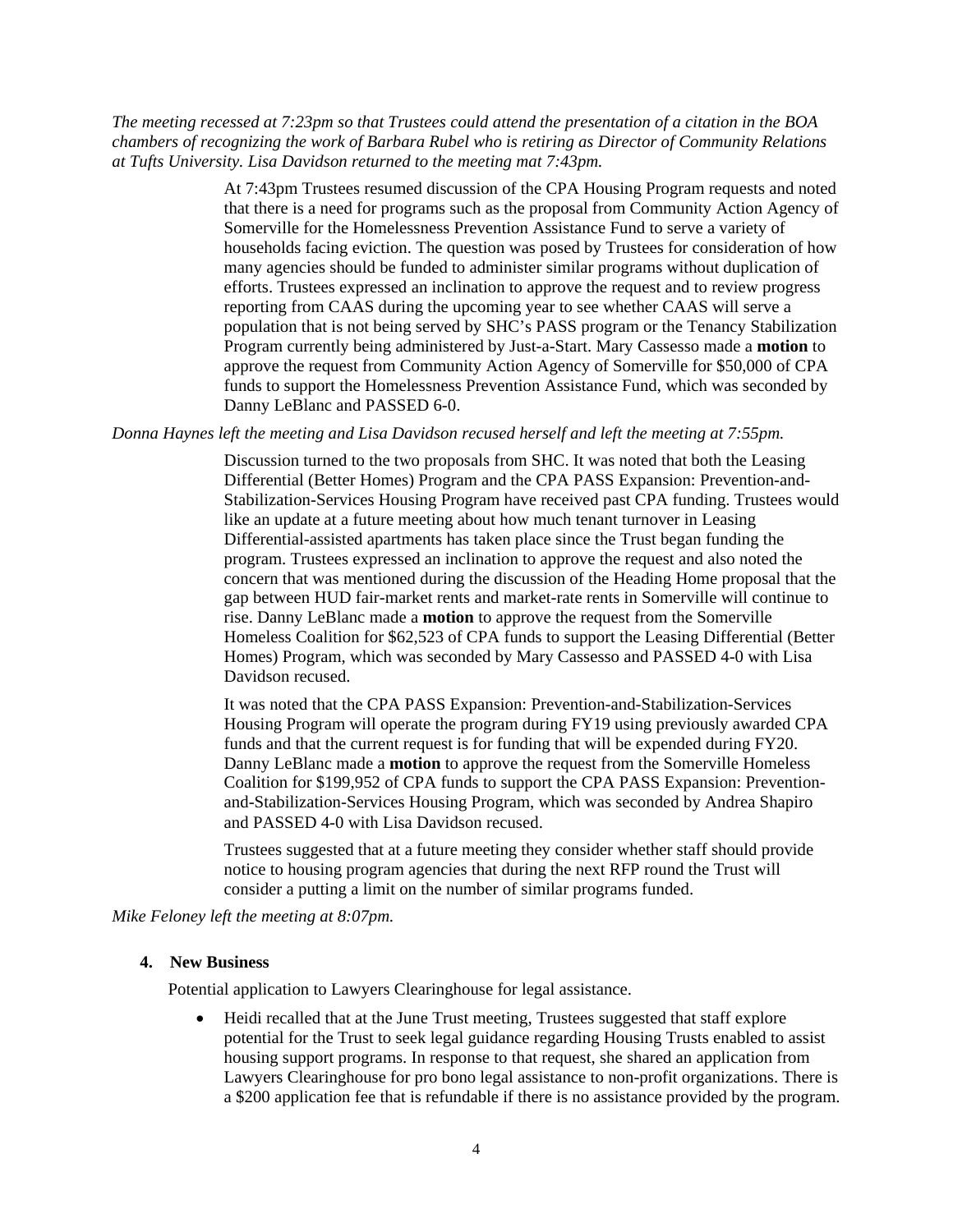*The meeting recessed at 7:23pm so that Trustees could attend the presentation of a citation in the BOA chambers of recognizing the work of Barbara Rubel who is retiring as Director of Community Relations at Tufts University. Lisa Davidson returned to the meeting mat 7:43pm.* 

> At 7:43pm Trustees resumed discussion of the CPA Housing Program requests and noted that there is a need for programs such as the proposal from Community Action Agency of Somerville for the Homelessness Prevention Assistance Fund to serve a variety of households facing eviction. The question was posed by Trustees for consideration of how many agencies should be funded to administer similar programs without duplication of efforts. Trustees expressed an inclination to approve the request and to review progress reporting from CAAS during the upcoming year to see whether CAAS will serve a population that is not being served by SHC's PASS program or the Tenancy Stabilization Program currently being administered by Just-a-Start. Mary Cassesso made a **motion** to approve the request from Community Action Agency of Somerville for \$50,000 of CPA funds to support the Homelessness Prevention Assistance Fund, which was seconded by Danny LeBlanc and PASSED 6-0.

*Donna Haynes left the meeting and Lisa Davidson recused herself and left the meeting at 7:55pm.* 

Discussion turned to the two proposals from SHC. It was noted that both the Leasing Differential (Better Homes) Program and the CPA PASS Expansion: Prevention-and-Stabilization-Services Housing Program have received past CPA funding. Trustees would like an update at a future meeting about how much tenant turnover in Leasing Differential-assisted apartments has taken place since the Trust began funding the program. Trustees expressed an inclination to approve the request and also noted the concern that was mentioned during the discussion of the Heading Home proposal that the gap between HUD fair-market rents and market-rate rents in Somerville will continue to rise. Danny LeBlanc made a **motion** to approve the request from the Somerville Homeless Coalition for \$62,523 of CPA funds to support the Leasing Differential (Better Homes) Program, which was seconded by Mary Cassesso and PASSED 4-0 with Lisa Davidson recused.

It was noted that the CPA PASS Expansion: Prevention-and-Stabilization-Services Housing Program will operate the program during FY19 using previously awarded CPA funds and that the current request is for funding that will be expended during FY20. Danny LeBlanc made a **motion** to approve the request from the Somerville Homeless Coalition for \$199,952 of CPA funds to support the CPA PASS Expansion: Preventionand-Stabilization-Services Housing Program, which was seconded by Andrea Shapiro and PASSED 4-0 with Lisa Davidson recused.

Trustees suggested that at a future meeting they consider whether staff should provide notice to housing program agencies that during the next RFP round the Trust will consider a putting a limit on the number of similar programs funded.

*Mike Feloney left the meeting at 8:07pm.* 

### **4. New Business**

Potential application to Lawyers Clearinghouse for legal assistance.

 Heidi recalled that at the June Trust meeting, Trustees suggested that staff explore potential for the Trust to seek legal guidance regarding Housing Trusts enabled to assist housing support programs. In response to that request, she shared an application from Lawyers Clearinghouse for pro bono legal assistance to non-profit organizations. There is a \$200 application fee that is refundable if there is no assistance provided by the program.